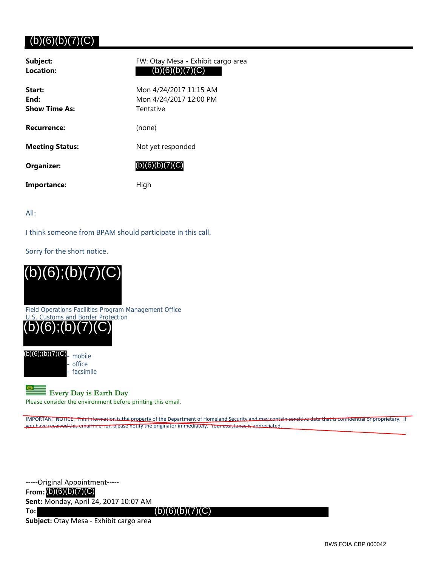## $(b)(6)(b)(7)(C)$

| Subject:<br>Location:                  | FW: Otay Mesa - Exhibit cargo area<br>(b)(6)(b)(7)(C)         |
|----------------------------------------|---------------------------------------------------------------|
| Start:<br>End:<br><b>Show Time As:</b> | Mon 4/24/2017 11:15 AM<br>Mon 4/24/2017 12:00 PM<br>Tentative |
| <b>Recurrence:</b>                     | (none)                                                        |
| <b>Meeting Status:</b>                 | Not yet responded                                             |
| <b>Organizer:</b>                      | (b)(6)(b)(7)(C)                                               |
| Importance:                            | High                                                          |

All:

I think someone from BPAM should participate in this call.

Sorry for the short notice.



Field Operations Facilities Program Management Office U.S. Customs and Border Protection



(b)(6);(b)(7)(C)<sub>— mobile</sub> – office – facsimile

## **Every Day is Earth Day**

Please consider the environment before printing this email.

IMPORTANT NOTICE: This information is the property of the Department of Homeland Security and may contain sensitive data that is confidential or proprietary. If you have received this email in error, please notify the originator immediately. Your assistance is appreciated.

‐‐‐‐‐Original Appointment‐‐‐‐‐ **From:** (b)(6)(b)(7)(C) **Sent:** Monday, April 24, 2017 10:07 AM

**To:**

 $(b)(6)(b)(7)(C)$ 

**Subject:** Otay Mesa ‐ Exhibit cargo area